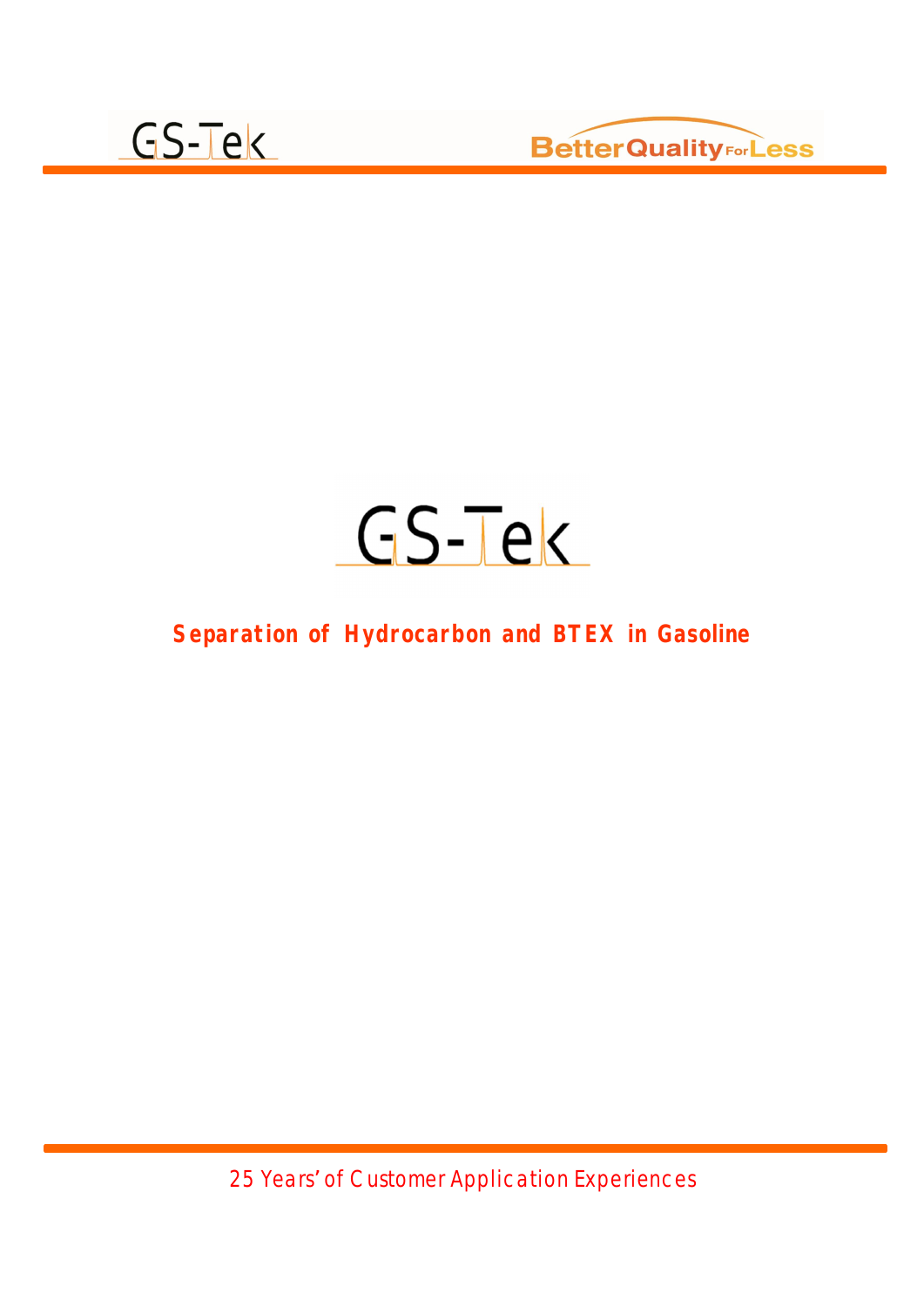



#### **Separation of Hydrocarbon and BTEX in Gasoline**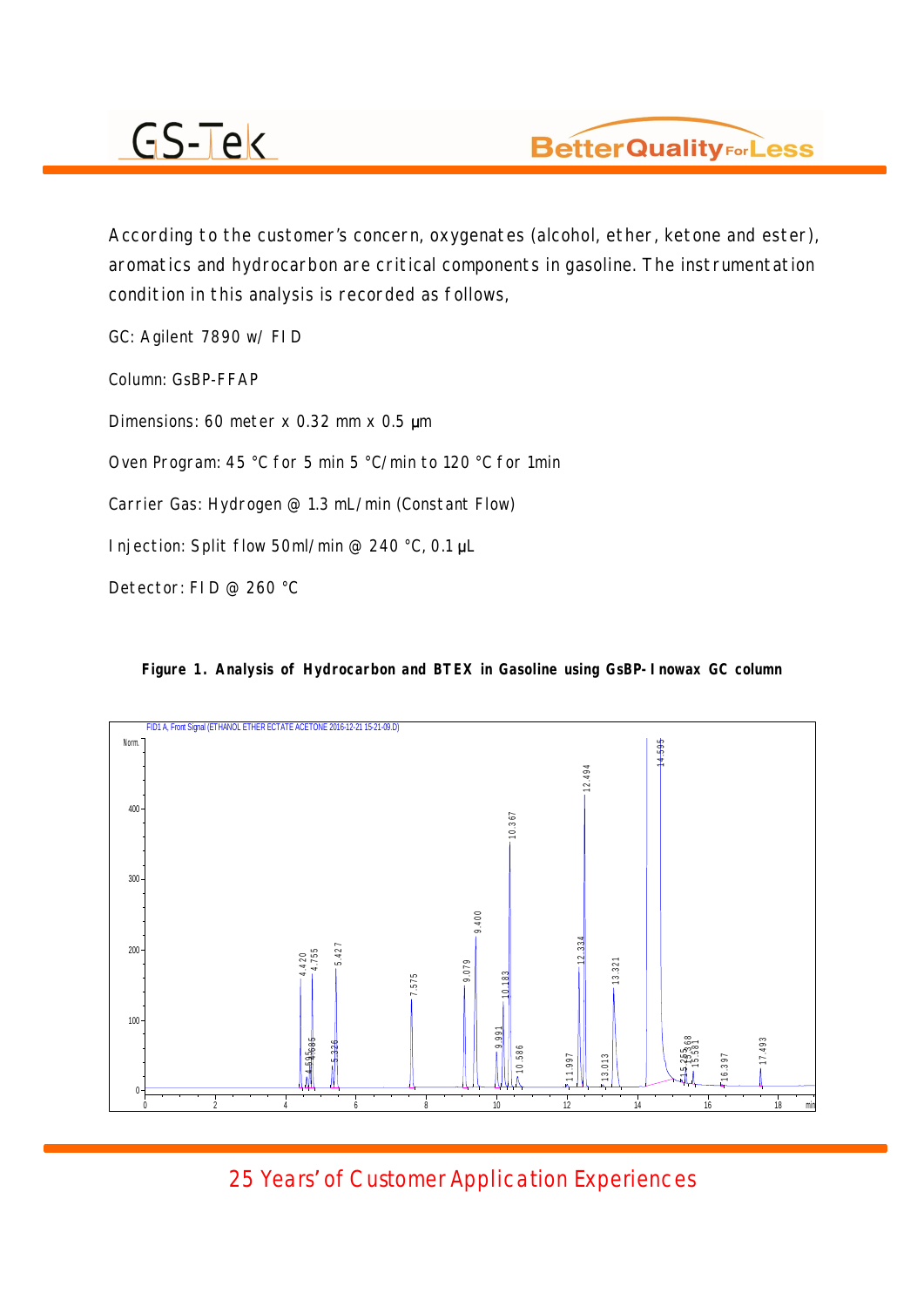

According to the customer's concern, oxygenates (alcohol, ether, ketone and ester), aromatics and hydrocarbon are critical components in gasoline. The instrumentation condition in this analysis is recorded as follows,

GC: Agilent 7890 w/ FID Column: GsBP-FFAP Dimensions: 60 meter x 0.32 mm x 0.5  $\mu$ m Oven Program: 45 °C for 5 min 5 °C/min to 120 °C for 1min Carrier Gas: Hydrogen @ 1.3 mL/min (Constant Flow) Injection: Split flow 50ml/min @ 240 °C, 0.1  $\mu$ L Detector: FID @ 260 °C



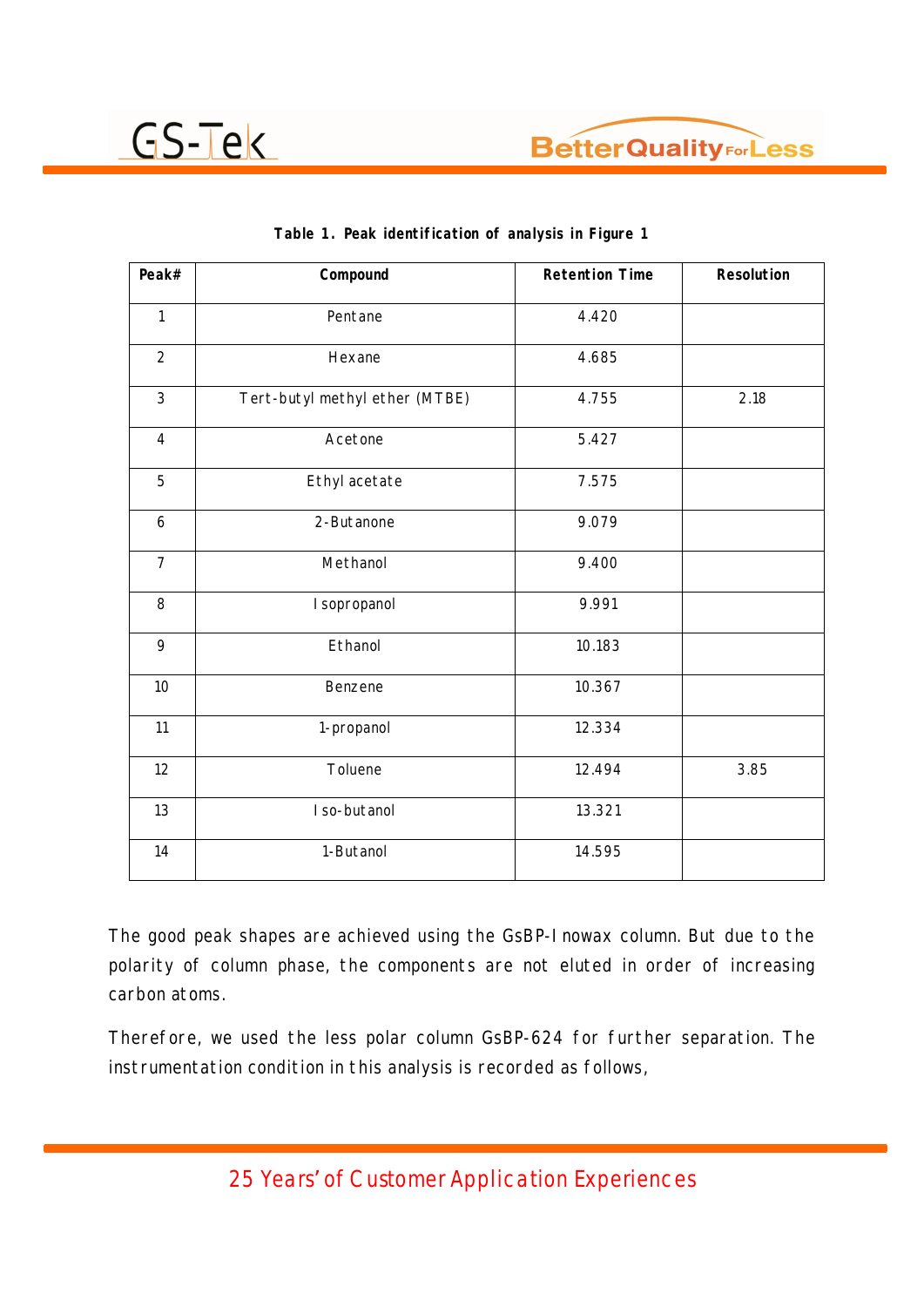

| Peak#          | Compound                       | <b>Retention Time</b> | Resolution |
|----------------|--------------------------------|-----------------------|------------|
| $\mathbf{1}$   | Pentane                        | 4.420                 |            |
| $\overline{2}$ | Hexane                         | 4.685                 |            |
| $\mathbf{3}$   | Tert-butyl methyl ether (MTBE) | 4.755                 | 2.18       |
| $\overline{4}$ | Acetone                        | 5.427                 |            |
| 5              | Ethyl acetate                  | 7.575                 |            |
| 6              | 2-Butanone                     | 9.079                 |            |
| $\overline{7}$ | Methanol                       | 9.400                 |            |
| 8              | I sopropanol                   | 9.991                 |            |
| 9              | Ethanol                        | 10.183                |            |
| 10             | Benzene                        | 10.367                |            |
| 11             | 1-propanol                     | 12.334                |            |
| 12             | Toluene                        | 12.494                | 3.85       |
| 13             | I so-butanol                   | 13.321                |            |
| 14             | 1-Butanol                      | 14.595                |            |

|  | Table 1. Peak identification of analysis in Figure 1 |  |  |  |
|--|------------------------------------------------------|--|--|--|
|  |                                                      |  |  |  |

The good peak shapes are achieved using the GsBP-Inowax column. But due to the polarity of column phase, the components are not eluted in order of increasing carbon atoms.

Therefore, we used the less polar column GsBP-624 for further separation. The instrumentation condition in this analysis is recorded as follows,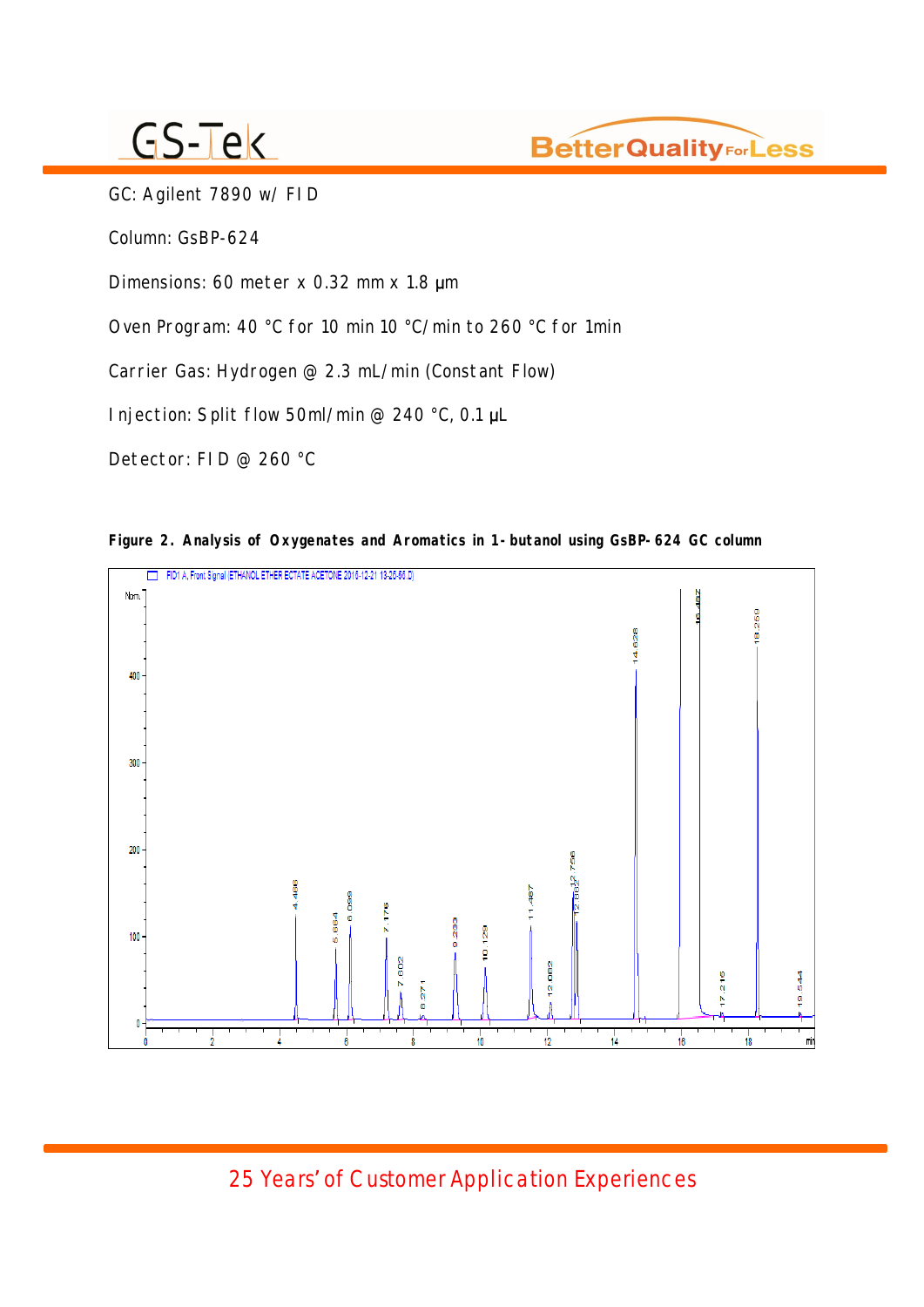

GC: Agilent 7890 w/ FID

Column: GsBP-624

Dimensions: 60 meter  $x$  0.32 mm  $x$  1.8  $\mu$ m

Oven Program: 40 °C for 10 min 10 °C/min to 260 °C for 1min

Carrier Gas: Hydrogen @ 2.3 mL/min (Constant Flow)

Injection: Split flow 50ml/min @ 240 °C, 0.1  $\mu$ L

Detector: FID @ 260 °C



**Figure 2. Analysis of Oxygenates and Aromatics in 1-butanol using GsBP-624 GC column**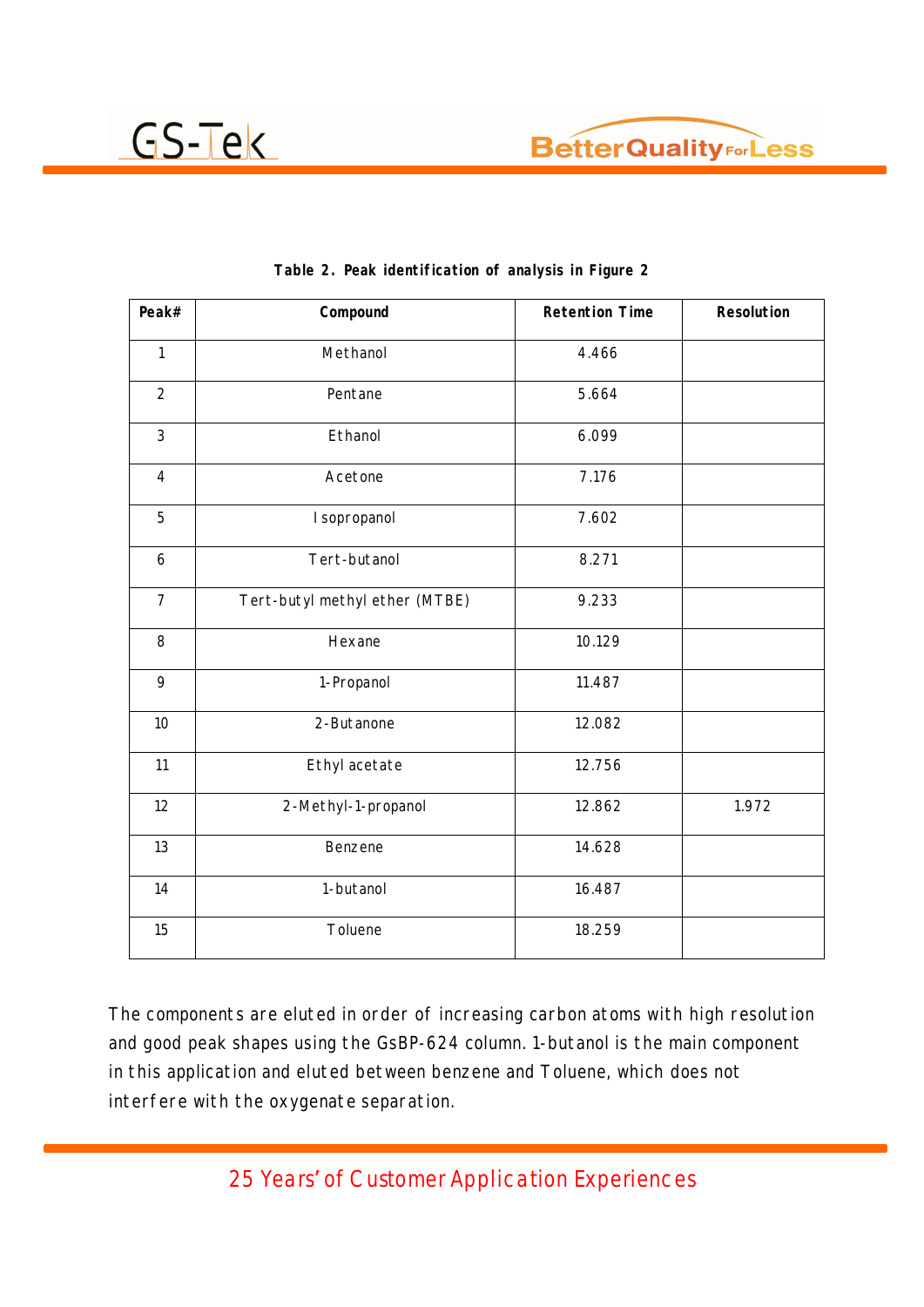



| Peak#                   | Compound                       | <b>Retention Time</b> | Resolution |
|-------------------------|--------------------------------|-----------------------|------------|
| $\mathbf{1}$            | Methanol                       | 4.466                 |            |
| $\overline{2}$          | Pentane                        | 5.664                 |            |
| 3                       | Ethanol                        | 6.099                 |            |
| $\overline{\mathbf{4}}$ | Acetone                        | 7.176                 |            |
| 5                       | I sopropanol                   | 7.602                 |            |
| 6                       | Tert-butanol                   | 8.271                 |            |
| $\overline{7}$          | Tert-butyl methyl ether (MTBE) | 9.233                 |            |
| 8                       | Hexane                         | 10.129                |            |
| 9                       | 1-Propanol                     | 11.487                |            |
| 10                      | 2-Butanone                     | 12.082                |            |
| 11                      | Ethyl acetate                  | 12.756                |            |
| 12                      | 2-Methyl-1-propanol            | 12.862                | 1.972      |
| 13                      | Benzene                        | 14.628                |            |
| 14                      | 1-butanol                      | 16.487                |            |
| 15                      | Toluene                        | 18.259                |            |

|  | Table 2. Peak identification of analysis in Figure 2 |  |  |  |
|--|------------------------------------------------------|--|--|--|
|  |                                                      |  |  |  |

The components are eluted in order of increasing carbon atoms with high resolution and good peak shapes using the GsBP-624 column. 1-butanol is the main component in this application and eluted between benzene and Toluene, which does not interfere with the oxygenate separation.